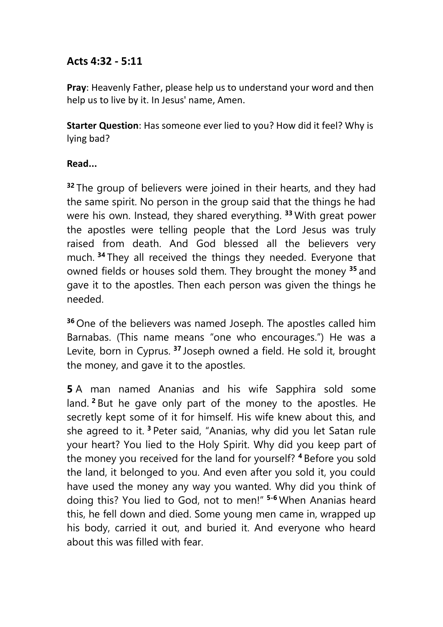## **Acts 4:32 - 5:11**

**Pray**: Heavenly Father, please help us to understand your word and then help us to live by it. In Jesus' name, Amen.

**Starter Question**: Has someone ever lied to you? How did it feel? Why is lying bad?

## **Read...**

<sup>32</sup> The group of believers were joined in their hearts, and they had the same spirit. No person in the group said that the things he had were his own. Instead, they shared everything. **<sup>33</sup>** With great power the apostles were telling people that the Lord Jesus was truly raised from death. And God blessed all the believers very much. **<sup>34</sup>** They all received the things they needed. Everyone that owned fields or houses sold them. They brought the money **<sup>35</sup>** and gave it to the apostles. Then each person was given the things he needed.

**<sup>36</sup>** One of the believers was named Joseph. The apostles called him Barnabas. (This name means "one who encourages.") He was a Levite, born in Cyprus. **<sup>37</sup>** Joseph owned a field. He sold it, brought the money, and gave it to the apostles.

**5** A man named Ananias and his wife Sapphira sold some land. **<sup>2</sup>** But he gave only part of the money to the apostles. He secretly kept some of it for himself. His wife knew about this, and she agreed to it. **<sup>3</sup>** Peter said, "Ananias, why did you let Satan rule your heart? You lied to the Holy Spirit. Why did you keep part of the money you received for the land for yourself? **<sup>4</sup>** Before you sold the land, it belonged to you. And even after you sold it, you could have used the money any way you wanted. Why did you think of doing this? You lied to God, not to men!" **5-6** When Ananias heard this, he fell down and died. Some young men came in, wrapped up his body, carried it out, and buried it. And everyone who heard about this was filled with fear.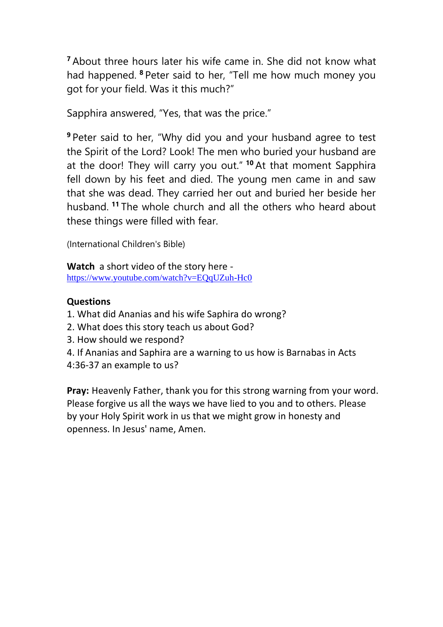**<sup>7</sup>** About three hours later his wife came in. She did not know what had happened. **<sup>8</sup>** Peter said to her, "Tell me how much money you got for your field. Was it this much?"

Sapphira answered, "Yes, that was the price."

**<sup>9</sup>** Peter said to her, "Why did you and your husband agree to test the Spirit of the Lord? Look! The men who buried your husband are at the door! They will carry you out." **<sup>10</sup>** At that moment Sapphira fell down by his feet and died. The young men came in and saw that she was dead. They carried her out and buried her beside her husband. **<sup>11</sup>** The whole church and all the others who heard about these things were filled with fear.

(International Children's Bible)

**Watch** a short video of the story here <https://www.youtube.com/watch?v=EQqUZuh-Hc0>

## **Questions**

- 1. What did Ananias and his wife Saphira do wrong?
- 2. What does this story teach us about God?
- 3. How should we respond?
- 4. If Ananias and Saphira are a warning to us how is Barnabas in Acts
- 4:36-37 an example to us?

**Pray:** Heavenly Father, thank you for this strong warning from your word. Please forgive us all the ways we have lied to you and to others. Please by your Holy Spirit work in us that we might grow in honesty and openness. In Jesus' name, Amen.